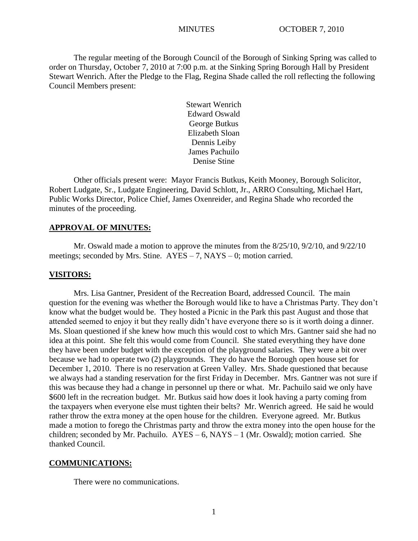The regular meeting of the Borough Council of the Borough of Sinking Spring was called to order on Thursday, October 7, 2010 at 7:00 p.m. at the Sinking Spring Borough Hall by President Stewart Wenrich. After the Pledge to the Flag, Regina Shade called the roll reflecting the following Council Members present:

> Stewart Wenrich Edward Oswald George Butkus Elizabeth Sloan Dennis Leiby James Pachuilo Denise Stine

Other officials present were: Mayor Francis Butkus, Keith Mooney, Borough Solicitor, Robert Ludgate, Sr., Ludgate Engineering, David Schlott, Jr., ARRO Consulting, Michael Hart, Public Works Director, Police Chief, James Oxenreider, and Regina Shade who recorded the minutes of the proceeding.

## **APPROVAL OF MINUTES:**

Mr. Oswald made a motion to approve the minutes from the 8/25/10, 9/2/10, and 9/22/10 meetings; seconded by Mrs. Stine.  $AYES - 7$ ,  $NAYS - 0$ ; motion carried.

### **VISITORS:**

Mrs. Lisa Gantner, President of the Recreation Board, addressed Council. The main question for the evening was whether the Borough would like to have a Christmas Party. They don't know what the budget would be. They hosted a Picnic in the Park this past August and those that attended seemed to enjoy it but they really didn't have everyone there so is it worth doing a dinner. Ms. Sloan questioned if she knew how much this would cost to which Mrs. Gantner said she had no idea at this point. She felt this would come from Council. She stated everything they have done they have been under budget with the exception of the playground salaries. They were a bit over because we had to operate two (2) playgrounds. They do have the Borough open house set for December 1, 2010. There is no reservation at Green Valley. Mrs. Shade questioned that because we always had a standing reservation for the first Friday in December. Mrs. Gantner was not sure if this was because they had a change in personnel up there or what. Mr. Pachuilo said we only have \$600 left in the recreation budget. Mr. Butkus said how does it look having a party coming from the taxpayers when everyone else must tighten their belts? Mr. Wenrich agreed. He said he would rather throw the extra money at the open house for the children. Everyone agreed. Mr. Butkus made a motion to forego the Christmas party and throw the extra money into the open house for the children; seconded by Mr. Pachuilo.  $AYES - 6$ ,  $NAYS - 1$  (Mr. Oswald); motion carried. She thanked Council.

#### **COMMUNICATIONS:**

There were no communications.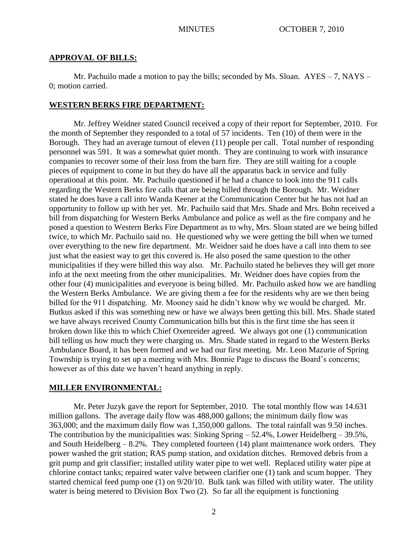## **APPROVAL OF BILLS:**

Mr. Pachuilo made a motion to pay the bills; seconded by Ms. Sloan. AYES – 7, NAYS – 0; motion carried.

# **WESTERN BERKS FIRE DEPARTMENT:**

Mr. Jeffrey Weidner stated Council received a copy of their report for September, 2010. For the month of September they responded to a total of 57 incidents. Ten (10) of them were in the Borough. They had an average turnout of eleven (11) people per call. Total number of responding personnel was 591. It was a somewhat quiet month. They are continuing to work with insurance companies to recover some of their loss from the barn fire. They are still waiting for a couple pieces of equipment to come in but they do have all the apparatus back in service and fully operational at this point. Mr. Pachuilo questioned if he had a chance to look into the 911 calls regarding the Western Berks fire calls that are being billed through the Borough. Mr. Weidner stated he does have a call into Wanda Keener at the Communication Center but he has not had an opportunity to follow up with her yet. Mr. Pachuilo said that Mrs. Shade and Mrs. Bohn received a bill from dispatching for Western Berks Ambulance and police as well as the fire company and he posed a question to Western Berks Fire Department as to why, Mrs. Sloan stated are we being billed twice, to which Mr. Pachuilo said no. He questioned why we were getting the bill when we turned over everything to the new fire department. Mr. Weidner said he does have a call into them to see just what the easiest way to get this covered is. He also posed the same question to the other municipalities if they were billed this way also. Mr. Pachuilo stated he believes they will get more info at the next meeting from the other municipalities. Mr. Weidner does have copies from the other four (4) municipalities and everyone is being billed. Mr. Pachuilo asked how we are handling the Western Berks Ambulance. We are giving them a fee for the residents why are we then being billed for the 911 dispatching. Mr. Mooney said he didn't know why we would be charged. Mr. Butkus asked if this was something new or have we always been getting this bill. Mrs. Shade stated we have always received County Communication bills but this is the first time she has seen it broken down like this to which Chief Oxenreider agreed. We always got one (1) communication bill telling us how much they were charging us. Mrs. Shade stated in regard to the Western Berks Ambulance Board, it has been formed and we had our first meeting. Mr. Leon Mazurie of Spring Township is trying to set up a meeting with Mrs. Bonnie Page to discuss the Board's concerns; however as of this date we haven't heard anything in reply.

# **MILLER ENVIRONMENTAL:**

Mr. Peter Juzyk gave the report for September, 2010. The total monthly flow was 14.631 million gallons. The average daily flow was 488,000 gallons; the minimum daily flow was 363,000; and the maximum daily flow was 1,350,000 gallons. The total rainfall was 9.50 inches. The contribution by the municipalities was: Sinking Spring – 52.4%, Lower Heidelberg – 39.5%, and South Heidelberg  $-8.2\%$ . They completed fourteen (14) plant maintenance work orders. They power washed the grit station; RAS pump station, and oxidation ditches. Removed debris from a grit pump and grit classifier; installed utility water pipe to wet well. Replaced utility water pipe at chlorine contact tanks; repaired water valve between clarifier one (1) tank and scum hopper. They started chemical feed pump one (1) on 9/20/10. Bulk tank was filled with utility water. The utility water is being metered to Division Box Two (2). So far all the equipment is functioning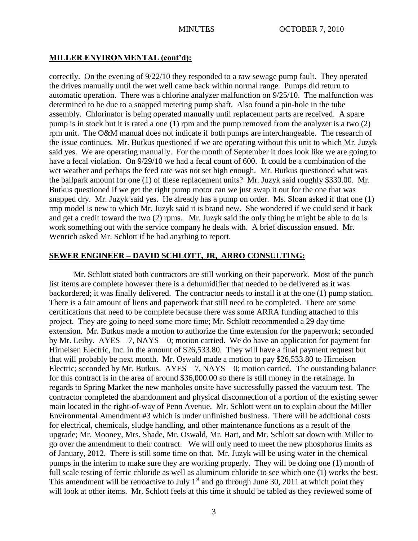# **MILLER ENVIRONMENTAL (cont'd):**

correctly. On the evening of 9/22/10 they responded to a raw sewage pump fault. They operated the drives manually until the wet well came back within normal range. Pumps did return to automatic operation. There was a chlorine analyzer malfunction on 9/25/10. The malfunction was determined to be due to a snapped metering pump shaft. Also found a pin-hole in the tube assembly. Chlorinator is being operated manually until replacement parts are received. A spare pump is in stock but it is rated a one (1) rpm and the pump removed from the analyzer is a two (2) rpm unit. The O&M manual does not indicate if both pumps are interchangeable. The research of the issue continues. Mr. Butkus questioned if we are operating without this unit to which Mr. Juzyk said yes. We are operating manually. For the month of September it does look like we are going to have a fecal violation. On  $9/29/10$  we had a fecal count of 600. It could be a combination of the wet weather and perhaps the feed rate was not set high enough. Mr. Butkus questioned what was the ballpark amount for one (1) of these replacement units? Mr. Juzyk said roughly \$330.00. Mr. Butkus questioned if we get the right pump motor can we just swap it out for the one that was snapped dry. Mr. Juzyk said yes. He already has a pump on order. Ms. Sloan asked if that one (1) rmp model is new to which Mr. Juzyk said it is brand new. She wondered if we could send it back and get a credit toward the two (2) rpms. Mr. Juzyk said the only thing he might be able to do is work something out with the service company he deals with. A brief discussion ensued. Mr. Wenrich asked Mr. Schlott if he had anything to report.

# **SEWER ENGINEER – DAVID SCHLOTT, JR, ARRO CONSULTING:**

Mr. Schlott stated both contractors are still working on their paperwork. Most of the punch list items are complete however there is a dehumidifier that needed to be delivered as it was backordered; it was finally delivered. The contractor needs to install it at the one (1) pump station. There is a fair amount of liens and paperwork that still need to be completed. There are some certifications that need to be complete because there was some ARRA funding attached to this project. They are going to need some more time; Mr. Schlott recommended a 29 day time extension. Mr. Butkus made a motion to authorize the time extension for the paperwork; seconded by Mr. Leiby. AYES – 7, NAYS – 0; motion carried. We do have an application for payment for Hirneisen Electric, Inc. in the amount of \$26,533.80. They will have a final payment request but that will probably be next month. Mr. Oswald made a motion to pay \$26,533.80 to Hirneisen Electric; seconded by Mr. Butkus.  $AYES - 7$ ,  $NAYS - 0$ ; motion carried. The outstanding balance for this contract is in the area of around \$36,000.00 so there is still money in the retainage. In regards to Spring Market the new manholes onsite have successfully passed the vacuum test. The contractor completed the abandonment and physical disconnection of a portion of the existing sewer main located in the right-of-way of Penn Avenue. Mr. Schlott went on to explain about the Miller Environmental Amendment #3 which is under unfinished business. There will be additional costs for electrical, chemicals, sludge handling, and other maintenance functions as a result of the upgrade; Mr. Mooney, Mrs. Shade, Mr. Oswald, Mr. Hart, and Mr. Schlott sat down with Miller to go over the amendment to their contract. We will only need to meet the new phosphorus limits as of January, 2012. There is still some time on that. Mr. Juzyk will be using water in the chemical pumps in the interim to make sure they are working properly. They will be doing one (1) month of full scale testing of ferric chloride as well as aluminum chloride to see which one (1) works the best. This amendment will be retroactive to July  $1<sup>st</sup>$  and go through June 30, 2011 at which point they will look at other items. Mr. Schlott feels at this time it should be tabled as they reviewed some of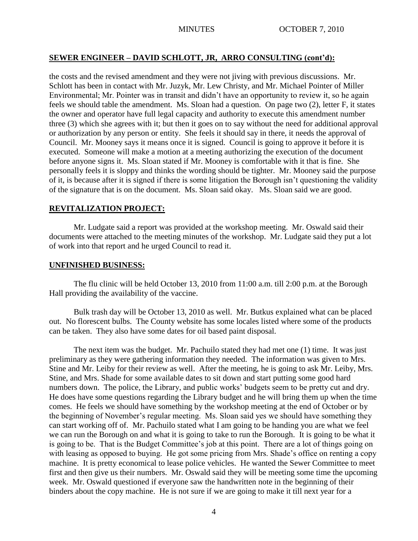# **SEWER ENGINEER – DAVID SCHLOTT, JR, ARRO CONSULTING (cont'd):**

the costs and the revised amendment and they were not jiving with previous discussions. Mr. Schlott has been in contact with Mr. Juzyk, Mr. Lew Christy, and Mr. Michael Pointer of Miller Environmental; Mr. Pointer was in transit and didn't have an opportunity to review it, so he again feels we should table the amendment. Ms. Sloan had a question. On page two (2), letter F, it states the owner and operator have full legal capacity and authority to execute this amendment number three (3) which she agrees with it; but then it goes on to say without the need for additional approval or authorization by any person or entity. She feels it should say in there, it needs the approval of Council. Mr. Mooney says it means once it is signed. Council is going to approve it before it is executed. Someone will make a motion at a meeting authorizing the execution of the document before anyone signs it. Ms. Sloan stated if Mr. Mooney is comfortable with it that is fine. She personally feels it is sloppy and thinks the wording should be tighter. Mr. Mooney said the purpose of it, is because after it is signed if there is some litigation the Borough isn't questioning the validity of the signature that is on the document. Ms. Sloan said okay. Ms. Sloan said we are good.

# **REVITALIZATION PROJECT:**

Mr. Ludgate said a report was provided at the workshop meeting. Mr. Oswald said their documents were attached to the meeting minutes of the workshop. Mr. Ludgate said they put a lot of work into that report and he urged Council to read it.

## **UNFINISHED BUSINESS:**

The flu clinic will be held October 13, 2010 from 11:00 a.m. till 2:00 p.m. at the Borough Hall providing the availability of the vaccine.

Bulk trash day will be October 13, 2010 as well. Mr. Butkus explained what can be placed out. No florescent bulbs. The County website has some locales listed where some of the products can be taken. They also have some dates for oil based paint disposal.

The next item was the budget. Mr. Pachuilo stated they had met one (1) time. It was just preliminary as they were gathering information they needed. The information was given to Mrs. Stine and Mr. Leiby for their review as well. After the meeting, he is going to ask Mr. Leiby, Mrs. Stine, and Mrs. Shade for some available dates to sit down and start putting some good hard numbers down. The police, the Library, and public works' budgets seem to be pretty cut and dry. He does have some questions regarding the Library budget and he will bring them up when the time comes. He feels we should have something by the workshop meeting at the end of October or by the beginning of November's regular meeting. Ms. Sloan said yes we should have something they can start working off of. Mr. Pachuilo stated what I am going to be handing you are what we feel we can run the Borough on and what it is going to take to run the Borough. It is going to be what it is going to be. That is the Budget Committee's job at this point. There are a lot of things going on with leasing as opposed to buying. He got some pricing from Mrs. Shade's office on renting a copy machine. It is pretty economical to lease police vehicles. He wanted the Sewer Committee to meet first and then give us their numbers. Mr. Oswald said they will be meeting some time the upcoming week. Mr. Oswald questioned if everyone saw the handwritten note in the beginning of their binders about the copy machine. He is not sure if we are going to make it till next year for a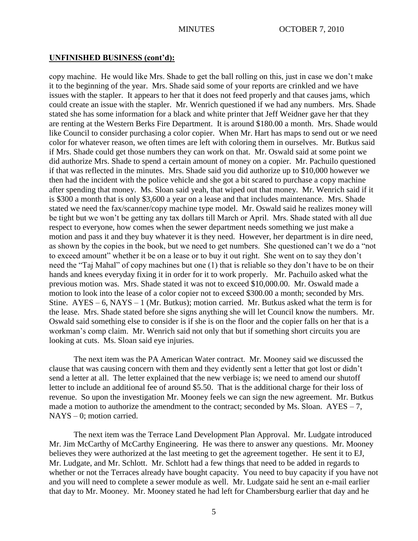## **UNFINISHED BUSINESS (cont'd):**

copy machine. He would like Mrs. Shade to get the ball rolling on this, just in case we don't make it to the beginning of the year. Mrs. Shade said some of your reports are crinkled and we have issues with the stapler. It appears to her that it does not feed properly and that causes jams, which could create an issue with the stapler. Mr. Wenrich questioned if we had any numbers. Mrs. Shade stated she has some information for a black and white printer that Jeff Weidner gave her that they are renting at the Western Berks Fire Department. It is around \$180.00 a month. Mrs. Shade would like Council to consider purchasing a color copier. When Mr. Hart has maps to send out or we need color for whatever reason, we often times are left with coloring them in ourselves. Mr. Butkus said if Mrs. Shade could get those numbers they can work on that. Mr. Oswald said at some point we did authorize Mrs. Shade to spend a certain amount of money on a copier. Mr. Pachuilo questioned if that was reflected in the minutes. Mrs. Shade said you did authorize up to \$10,000 however we then had the incident with the police vehicle and she got a bit scared to purchase a copy machine after spending that money. Ms. Sloan said yeah, that wiped out that money. Mr. Wenrich said if it is \$300 a month that is only \$3,600 a year on a lease and that includes maintenance. Mrs. Shade stated we need the fax/scanner/copy machine type model. Mr. Oswald said he realizes money will be tight but we won't be getting any tax dollars till March or April. Mrs. Shade stated with all due respect to everyone, how comes when the sewer department needs something we just make a motion and pass it and they buy whatever it is they need. However, her department is in dire need, as shown by the copies in the book, but we need to get numbers. She questioned can't we do a "not to exceed amount" whether it be on a lease or to buy it out right. She went on to say they don't need the "Taj Mahal" of copy machines but one (1) that is reliable so they don't have to be on their hands and knees everyday fixing it in order for it to work properly. Mr. Pachuilo asked what the previous motion was. Mrs. Shade stated it was not to exceed \$10,000.00. Mr. Oswald made a motion to look into the lease of a color copier not to exceed \$300.00 a month; seconded by Mrs. Stine.  $AYES - 6$ ,  $NAYS - 1$  (Mr. Butkus); motion carried. Mr. Butkus asked what the term is for the lease. Mrs. Shade stated before she signs anything she will let Council know the numbers. Mr. Oswald said something else to consider is if she is on the floor and the copier falls on her that is a workman's comp claim. Mr. Wenrich said not only that but if something short circuits you are looking at cuts. Ms. Sloan said eye injuries.

The next item was the PA American Water contract. Mr. Mooney said we discussed the clause that was causing concern with them and they evidently sent a letter that got lost or didn't send a letter at all. The letter explained that the new verbiage is; we need to amend our shutoff letter to include an additional fee of around \$5.50. That is the additional charge for their loss of revenue. So upon the investigation Mr. Mooney feels we can sign the new agreement. Mr. Butkus made a motion to authorize the amendment to the contract; seconded by Ms. Sloan.  $AYES - 7$ , NAYS – 0; motion carried.

The next item was the Terrace Land Development Plan Approval. Mr. Ludgate introduced Mr. Jim McCarthy of McCarthy Engineering. He was there to answer any questions. Mr. Mooney believes they were authorized at the last meeting to get the agreement together. He sent it to EJ, Mr. Ludgate, and Mr. Schlott. Mr. Schlott had a few things that need to be added in regards to whether or not the Terraces already have bought capacity. You need to buy capacity if you have not and you will need to complete a sewer module as well. Mr. Ludgate said he sent an e-mail earlier that day to Mr. Mooney. Mr. Mooney stated he had left for Chambersburg earlier that day and he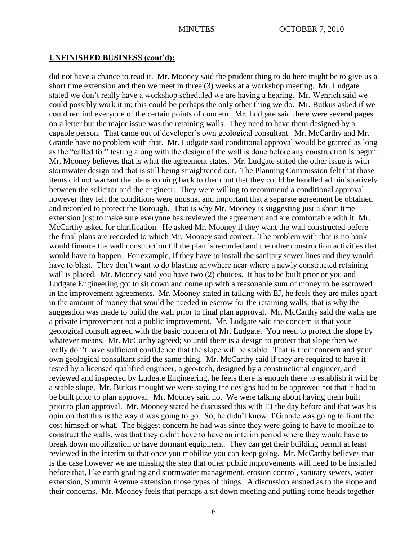### **UNFINISHED BUSINESS (cont'd):**

did not have a chance to read it. Mr. Mooney said the prudent thing to do here might be to give us a short time extension and then we meet in three (3) weeks at a workshop meeting. Mr. Ludgate stated we don't really have a workshop scheduled we are having a hearing. Mr. Wenrich said we could possibly work it in; this could be perhaps the only other thing we do. Mr. Butkus asked if we could remind everyone of the certain points of concern. Mr. Ludgate said there were several pages on a letter but the major issue was the retaining walls. They need to have them designed by a capable person. That came out of developer's own geological consultant. Mr. McCarthy and Mr. Grande have no problem with that. Mr. Ludgate said conditional approval would be granted as long as the "called for" testing along with the design of the wall is done before any construction is begun. Mr. Mooney believes that is what the agreement states. Mr. Ludgate stated the other issue is with stormwater design and that is still being straightened out. The Planning Commission felt that those items did not warrant the plans coming back to them but that they could be handled administratively between the solicitor and the engineer. They were willing to recommend a conditional approval however they felt the conditions were unusual and important that a separate agreement be obtained and recorded to protect the Borough. That is why Mr. Mooney is suggesting just a short time extension just to make sure everyone has reviewed the agreement and are comfortable with it. Mr. McCarthy asked for clarification. He asked Mr. Mooney if they want the wall constructed before the final plans are recorded to which Mr. Mooney said correct. The problem with that is no bank would finance the wall construction till the plan is recorded and the other construction activities that would have to happen. For example, if they have to install the sanitary sewer lines and they would have to blast. They don't want to do blasting anywhere near where a newly constructed retaining wall is placed. Mr. Mooney said you have two  $(2)$  choices. It has to be built prior or you and Ludgate Engineering got to sit down and come up with a reasonable sum of money to be escrowed in the improvement agreements. Mr. Mooney stated in talking with EJ, he feels they are miles apart in the amount of money that would be needed in escrow for the retaining walls; that is why the suggestion was made to build the wall prior to final plan approval. Mr. McCarthy said the walls are a private improvement not a public improvement. Mr. Ludgate said the concern is that your geological consult agreed with the basic concern of Mr. Ludgate. You need to protect the slope by whatever means. Mr. McCarthy agreed; so until there is a design to protect that slope then we really don't have sufficient confidence that the slope will be stable. That is their concern and your own geological consultant said the same thing. Mr. McCarthy said if they are required to have it tested by a licensed qualified engineer, a geo-tech, designed by a constructional engineer, and reviewed and inspected by Ludgate Engineering, he feels there is enough there to establish it will be a stable slope. Mr. Butkus thought we were saying the designs had to be approved not that it had to be built prior to plan approval. Mr. Mooney said no. We were talking about having them built prior to plan approval. Mr. Mooney stated he discussed this with EJ the day before and that was his opinion that this is the way it was going to go. So, he didn't know if Grande was going to front the cost himself or what. The biggest concern he had was since they were going to have to mobilize to construct the walls, was that they didn't have to have an interim period where they would have to break down mobilization or have dormant equipment. They can get their building permit at least reviewed in the interim so that once you mobilize you can keep going. Mr. McCarthy believes that is the case however we are missing the step that other public improvements will need to be installed before that, like earth grading and stormwater management, erosion control, sanitary sewers, water extension, Summit Avenue extension those types of things. A discussion ensued as to the slope and their concerns. Mr. Mooney feels that perhaps a sit down meeting and putting some heads together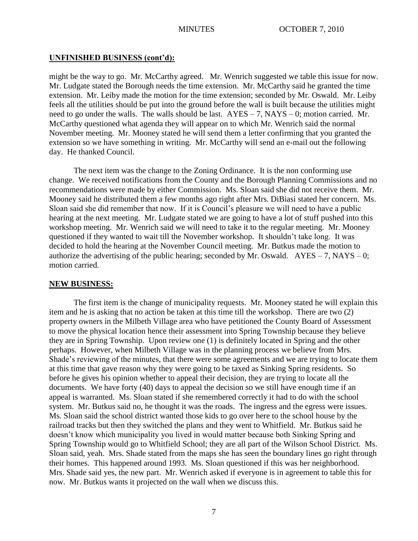## **UNFINISHED BUSINESS (cont'd):**

might be the way to go. Mr. McCarthy agreed. Mr. Wenrich suggested we table this issue for now. Mr. Ludgate stated the Borough needs the time extension. Mr. McCarthy said he granted the time extension. Mr. Leiby made the motion for the time extension; seconded by Mr. Oswald. Mr. Leiby feels all the utilities should be put into the ground before the wall is built because the utilities might need to go under the walls. The walls should be last.  $AYES - 7$ ,  $NAYS - 0$ ; motion carried. Mr. McCarthy questioned what agenda they will appear on to which Mr. Wenrich said the normal November meeting. Mr. Mooney stated he will send them a letter confirming that you granted the extension so we have something in writing. Mr. McCarthy will send an e-mail out the following day. He thanked Council.

The next item was the change to the Zoning Ordinance. It is the non conforming use change. We received notifications from the County and the Borough Planning Commissions and no recommendations were made by either Commission. Ms. Sloan said she did not receive them. Mr. Mooney said he distributed them a few months ago right after Mrs. DiBiasi stated her concern. Ms. Sloan said she did remember that now. If it is Council's pleasure we will need to have a public hearing at the next meeting. Mr. Ludgate stated we are going to have a lot of stuff pushed into this workshop meeting. Mr. Wenrich said we will need to take it to the regular meeting. Mr. Mooney questioned if they wanted to wait till the November workshop. It shouldn't take long. It was decided to hold the hearing at the November Council meeting. Mr. Butkus made the motion to authorize the advertising of the public hearing; seconded by Mr. Oswald.  $AYES - 7$ , NAYS – 0; motion carried.

#### **NEW BUSINESS:**

The first item is the change of municipality requests. Mr. Mooney stated he will explain this item and he is asking that no action be taken at this time till the workshop. There are two (2) property owners in the Milbeth Village area who have petitioned the County Board of Assessment to move the physical location hence their assessment into Spring Township because they believe they are in Spring Township. Upon review one (1) is definitely located in Spring and the other perhaps. However, when Milbeth Village was in the planning process we believe from Mrs. Shade's reviewing of the minutes, that there were some agreements and we are trying to locate them at this time that gave reason why they were going to be taxed as Sinking Spring residents. So before he gives his opinion whether to appeal their decision, they are trying to locate all the documents. We have forty (40) days to appeal the decision so we still have enough time if an appeal is warranted. Ms. Sloan stated if she remembered correctly it had to do with the school system. Mr. Butkus said no, he thought it was the roads. The ingress and the egress were issues. Ms. Sloan said the school district wanted those kids to go over here to the school house by the railroad tracks but then they switched the plans and they went to Whitfield. Mr. Butkus said he doesn't know which municipality you lived in would matter because both Sinking Spring and Spring Township would go to Whitfield School; they are all part of the Wilson School District. Ms. Sloan said, yeah. Mrs. Shade stated from the maps she has seen the boundary lines go right through their homes. This happened around 1993. Ms. Sloan questioned if this was her neighborhood. Mrs. Shade said yes, the new part. Mr. Wenrich asked if everyone is in agreement to table this for now. Mr. Butkus wants it projected on the wall when we discuss this.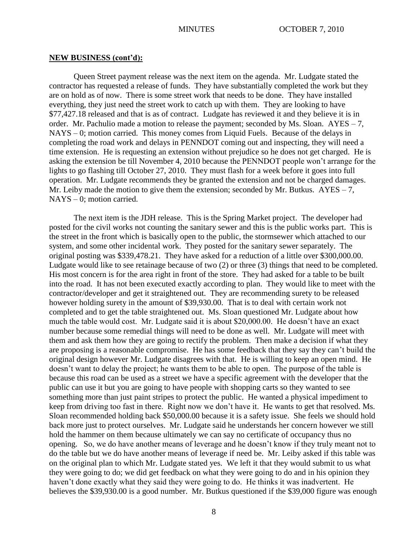#### **NEW BUSINESS (cont'd):**

Queen Street payment release was the next item on the agenda. Mr. Ludgate stated the contractor has requested a release of funds. They have substantially completed the work but they are on hold as of now. There is some street work that needs to be done. They have installed everything, they just need the street work to catch up with them. They are looking to have \$77,427.18 released and that is as of contract. Ludgate has reviewed it and they believe it is in order. Mr. Pachulio made a motion to release the payment; seconded by Ms. Sloan. AYES – 7, NAYS – 0; motion carried. This money comes from Liquid Fuels. Because of the delays in completing the road work and delays in PENNDOT coming out and inspecting, they will need a time extension. He is requesting an extension without prejudice so he does not get charged. He is asking the extension be till November 4, 2010 because the PENNDOT people won't arrange for the lights to go flashing till October 27, 2010. They must flash for a week before it goes into full operation. Mr. Ludgate recommends they be granted the extension and not be charged damages. Mr. Leiby made the motion to give them the extension; seconded by Mr. Butkus.  $AYES - 7$ , NAYS – 0; motion carried.

The next item is the JDH release. This is the Spring Market project. The developer had posted for the civil works not counting the sanitary sewer and this is the public works part. This is the street in the front which is basically open to the public, the stormsewer which attached to our system, and some other incidental work. They posted for the sanitary sewer separately. The original posting was \$339,478.21. They have asked for a reduction of a little over \$300,000.00. Ludgate would like to see retainage because of two (2) or three (3) things that need to be completed. His most concern is for the area right in front of the store. They had asked for a table to be built into the road. It has not been executed exactly according to plan. They would like to meet with the contractor/developer and get it straightened out. They are recommending surety to be released however holding surety in the amount of \$39,930.00. That is to deal with certain work not completed and to get the table straightened out. Ms. Sloan questioned Mr. Ludgate about how much the table would cost. Mr. Ludgate said it is about \$20,000.00. He doesn't have an exact number because some remedial things will need to be done as well. Mr. Ludgate will meet with them and ask them how they are going to rectify the problem. Then make a decision if what they are proposing is a reasonable compromise. He has some feedback that they say they can't build the original design however Mr. Ludgate disagrees with that. He is willing to keep an open mind. He doesn't want to delay the project; he wants them to be able to open. The purpose of the table is because this road can be used as a street we have a specific agreement with the developer that the public can use it but you are going to have people with shopping carts so they wanted to see something more than just paint stripes to protect the public. He wanted a physical impediment to keep from driving too fast in there. Right now we don't have it. He wants to get that resolved. Ms. Sloan recommended holding back \$50,000.00 because it is a safety issue. She feels we should hold back more just to protect ourselves. Mr. Ludgate said he understands her concern however we still hold the hammer on them because ultimately we can say no certificate of occupancy thus no opening. So, we do have another means of leverage and he doesn't know if they truly meant not to do the table but we do have another means of leverage if need be. Mr. Leiby asked if this table was on the original plan to which Mr. Ludgate stated yes. We left it that they would submit to us what they were going to do; we did get feedback on what they were going to do and in his opinion they haven't done exactly what they said they were going to do. He thinks it was inadvertent. He believes the \$39,930.00 is a good number. Mr. Butkus questioned if the \$39,000 figure was enough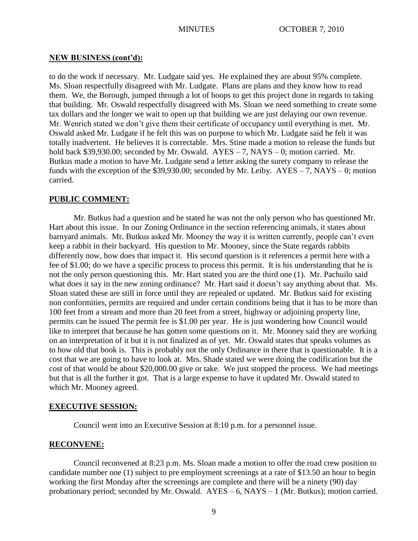### **NEW BUSINESS (cont'd):**

to do the work if necessary. Mr. Ludgate said yes. He explained they are about 95% complete. Ms. Sloan respectfully disagreed with Mr. Ludgate. Plans are plans and they know how to read them. We, the Borough, jumped through a lot of hoops to get this project done in regards to taking that building. Mr. Oswald respectfully disagreed with Ms. Sloan we need something to create some tax dollars and the longer we wait to open up that building we are just delaying our own revenue. Mr. Wenrich stated we don't give them their certificate of occupancy until everything is met. Mr. Oswald asked Mr. Ludgate if he felt this was on purpose to which Mr. Ludgate said he felt it was totally inadvertent. He believes it is correctable. Mrs. Stine made a motion to release the funds but hold back \$39,930.00; seconded by Mr. Oswald. AYES – 7, NAYS – 0; motion carried. Mr. Butkus made a motion to have Mr. Ludgate send a letter asking the surety company to release the funds with the exception of the \$39,930.00; seconded by Mr. Leiby.  $AYES - 7$ ,  $NAYS - 0$ ; motion carried.

# **PUBLIC COMMENT:**

Mr. Butkus had a question and he stated he was not the only person who has questioned Mr. Hart about this issue. In our Zoning Ordinance in the section referencing animals, it states about barnyard animals. Mr. Butkus asked Mr. Mooney the way it is written currently, people can't even keep a rabbit in their backyard. His question to Mr. Mooney, since the State regards rabbits differently now, how does that impact it. His second question is it references a permit here with a fee of \$1.00; do we have a specific process to process this permit. It is his understanding that he is not the only person questioning this. Mr. Hart stated you are the third one (1). Mr. Pachuilo said what does it say in the new zoning ordinance? Mr. Hart said it doesn't say anything about that. Ms. Sloan stated these are still in force until they are repealed or updated. Mr. Butkus said for existing non conformities, permits are required and under certain conditions being that it has to be more than 100 feet from a stream and more than 20 feet from a street, highway or adjoining property line, permits can be issued The permit fee is \$1.00 per year. He is just wondering how Council would like to interpret that because he has gotten some questions on it. Mr. Mooney said they are working on an interpretation of it but it is not finalized as of yet. Mr. Oswald states that speaks volumes as to how old that book is. This is probably not the only Ordinance in there that is questionable. It is a cost that we are going to have to look at. Mrs. Shade stated we were doing the codification but the cost of that would be about \$20,000.00 give or take. We just stopped the process. We had meetings but that is all the further it got. That is a large expense to have it updated Mr. Oswald stated to which Mr. Mooney agreed.

## **EXECUTIVE SESSION:**

Council went into an Executive Session at 8:10 p.m. for a personnel issue.

## **RECONVENE:**

Council reconvened at 8:23 p.m. Ms. Sloan made a motion to offer the road crew position to candidate number one (1) subject to pre employment screenings at a rate of \$13.50 an hour to begin working the first Monday after the screenings are complete and there will be a ninety (90) day probationary period; seconded by Mr. Oswald. AYES – 6, NAYS – 1 (Mr. Butkus); motion carried.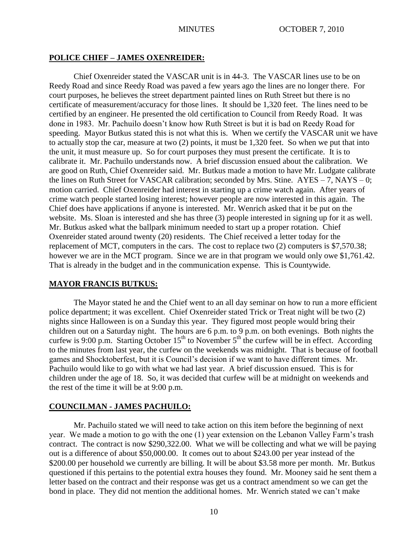# **POLICE CHIEF – JAMES OXENREIDER:**

Chief Oxenreider stated the VASCAR unit is in 44-3. The VASCAR lines use to be on Reedy Road and since Reedy Road was paved a few years ago the lines are no longer there. For court purposes, he believes the street department painted lines on Ruth Street but there is no certificate of measurement/accuracy for those lines. It should be 1,320 feet. The lines need to be certified by an engineer. He presented the old certification to Council from Reedy Road. It was done in 1983. Mr. Pachuilo doesn't know how Ruth Street is but it is bad on Reedy Road for speeding. Mayor Butkus stated this is not what this is. When we certify the VASCAR unit we have to actually stop the car, measure at two (2) points, it must be 1,320 feet. So when we put that into the unit, it must measure up. So for court purposes they must present the certificate. It is to calibrate it. Mr. Pachuilo understands now. A brief discussion ensued about the calibration. We are good on Ruth, Chief Oxenreider said. Mr. Butkus made a motion to have Mr. Ludgate calibrate the lines on Ruth Street for VASCAR calibration; seconded by Mrs. Stine. AYES – 7, NAYS – 0; motion carried. Chief Oxenreider had interest in starting up a crime watch again. After years of crime watch people started losing interest; however people are now interested in this again. The Chief does have applications if anyone is interested. Mr. Wenrich asked that it be put on the website. Ms. Sloan is interested and she has three (3) people interested in signing up for it as well. Mr. Butkus asked what the ballpark minimum needed to start up a proper rotation. Chief Oxenreider stated around twenty (20) residents. The Chief received a letter today for the replacement of MCT, computers in the cars. The cost to replace two (2) computers is \$7,570.38; however we are in the MCT program. Since we are in that program we would only owe \$1,761.42. That is already in the budget and in the communication expense. This is Countywide.

#### **MAYOR FRANCIS BUTKUS:**

The Mayor stated he and the Chief went to an all day seminar on how to run a more efficient police department; it was excellent. Chief Oxenreider stated Trick or Treat night will be two (2) nights since Halloween is on a Sunday this year. They figured most people would bring their children out on a Saturday night. The hours are 6 p.m. to 9 p.m. on both evenings. Both nights the curfew is 9:00 p.m. Starting October  $15<sup>th</sup>$  to November  $5<sup>th</sup>$  the curfew will be in effect. According to the minutes from last year, the curfew on the weekends was midnight. That is because of football games and Shocktoberfest, but it is Council's decision if we want to have different times. Mr. Pachuilo would like to go with what we had last year. A brief discussion ensued. This is for children under the age of 18. So, it was decided that curfew will be at midnight on weekends and the rest of the time it will be at 9:00 p.m.

#### **COUNCILMAN - JAMES PACHUILO:**

Mr. Pachuilo stated we will need to take action on this item before the beginning of next year. We made a motion to go with the one (1) year extension on the Lebanon Valley Farm's trash contract. The contract is now \$290,322.00. What we will be collecting and what we will be paying out is a difference of about \$50,000.00. It comes out to about \$243.00 per year instead of the \$200.00 per household we currently are billing. It will be about \$3.58 more per month. Mr. Butkus questioned if this pertains to the potential extra houses they found. Mr. Mooney said he sent them a letter based on the contract and their response was get us a contract amendment so we can get the bond in place. They did not mention the additional homes. Mr. Wenrich stated we can't make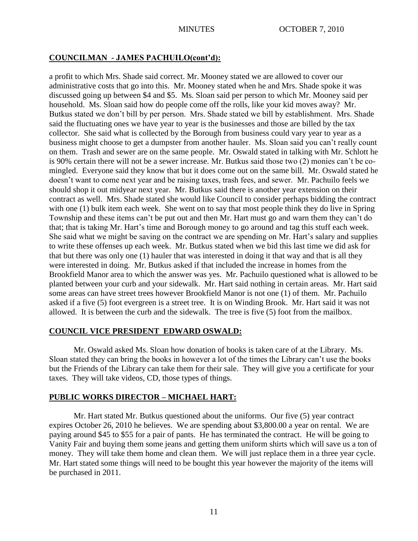# **COUNCILMAN - JAMES PACHUILO(cont'd):**

a profit to which Mrs. Shade said correct. Mr. Mooney stated we are allowed to cover our administrative costs that go into this. Mr. Mooney stated when he and Mrs. Shade spoke it was discussed going up between \$4 and \$5. Ms. Sloan said per person to which Mr. Mooney said per household. Ms. Sloan said how do people come off the rolls, like your kid moves away? Mr. Butkus stated we don't bill by per person. Mrs. Shade stated we bill by establishment. Mrs. Shade said the fluctuating ones we have year to year is the businesses and those are billed by the tax collector. She said what is collected by the Borough from business could vary year to year as a business might choose to get a dumpster from another hauler. Ms. Sloan said you can't really count on them. Trash and sewer are on the same people. Mr. Oswald stated in talking with Mr. Schlott he is 90% certain there will not be a sewer increase. Mr. Butkus said those two (2) monies can't be comingled. Everyone said they know that but it does come out on the same bill. Mr. Oswald stated he doesn't want to come next year and be raising taxes, trash fees, and sewer. Mr. Pachuilo feels we should shop it out midyear next year. Mr. Butkus said there is another year extension on their contract as well. Mrs. Shade stated she would like Council to consider perhaps bidding the contract with one (1) bulk item each week. She went on to say that most people think they do live in Spring Township and these items can't be put out and then Mr. Hart must go and warn them they can't do that; that is taking Mr. Hart's time and Borough money to go around and tag this stuff each week. She said what we might be saving on the contract we are spending on Mr. Hart's salary and supplies to write these offenses up each week. Mr. Butkus stated when we bid this last time we did ask for that but there was only one (1) hauler that was interested in doing it that way and that is all they were interested in doing. Mr. Butkus asked if that included the increase in homes from the Brookfield Manor area to which the answer was yes. Mr. Pachuilo questioned what is allowed to be planted between your curb and your sidewalk. Mr. Hart said nothing in certain areas. Mr. Hart said some areas can have street trees however Brookfield Manor is not one (1) of them. Mr. Pachuilo asked if a five (5) foot evergreen is a street tree. It is on Winding Brook. Mr. Hart said it was not allowed. It is between the curb and the sidewalk. The tree is five (5) foot from the mailbox.

# **COUNCIL VICE PRESIDENT EDWARD OSWALD:**

Mr. Oswald asked Ms. Sloan how donation of books is taken care of at the Library. Ms. Sloan stated they can bring the books in however a lot of the times the Library can't use the books but the Friends of the Library can take them for their sale. They will give you a certificate for your taxes. They will take videos, CD, those types of things.

# **PUBLIC WORKS DIRECTOR – MICHAEL HART:**

Mr. Hart stated Mr. Butkus questioned about the uniforms. Our five (5) year contract expires October 26, 2010 he believes. We are spending about \$3,800.00 a year on rental. We are paying around \$45 to \$55 for a pair of pants. He has terminated the contract. He will be going to Vanity Fair and buying them some jeans and getting them uniform shirts which will save us a ton of money. They will take them home and clean them. We will just replace them in a three year cycle. Mr. Hart stated some things will need to be bought this year however the majority of the items will be purchased in 2011.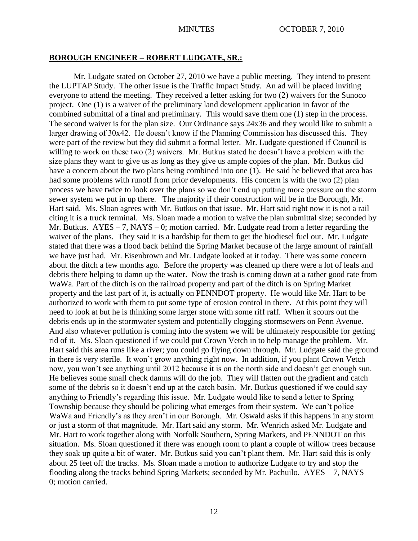## **BOROUGH ENGINEER – ROBERT LUDGATE, SR.:**

Mr. Ludgate stated on October 27, 2010 we have a public meeting. They intend to present the LUPTAP Study. The other issue is the Traffic Impact Study. An ad will be placed inviting everyone to attend the meeting. They received a letter asking for two (2) waivers for the Sunoco project. One (1) is a waiver of the preliminary land development application in favor of the combined submittal of a final and preliminary. This would save them one (1) step in the process. The second waiver is for the plan size. Our Ordinance says 24x36 and they would like to submit a larger drawing of 30x42. He doesn't know if the Planning Commission has discussed this. They were part of the review but they did submit a formal letter. Mr. Ludgate questioned if Council is willing to work on these two (2) waivers. Mr. Butkus stated he doesn't have a problem with the size plans they want to give us as long as they give us ample copies of the plan. Mr. Butkus did have a concern about the two plans being combined into one (1). He said he believed that area has had some problems with runoff from prior developments. His concern is with the two (2) plan process we have twice to look over the plans so we don't end up putting more pressure on the storm sewer system we put in up there. The majority if their construction will be in the Borough, Mr. Hart said. Ms. Sloan agrees with Mr. Butkus on that issue. Mr. Hart said right now it is not a rail citing it is a truck terminal. Ms. Sloan made a motion to waive the plan submittal size; seconded by Mr. Butkus.  $AYES - 7$ ,  $NAYS - 0$ ; motion carried. Mr. Ludgate read from a letter regarding the waiver of the plans. They said it is a hardship for them to get the biodiesel fuel out. Mr. Ludgate stated that there was a flood back behind the Spring Market because of the large amount of rainfall we have just had. Mr. Eisenbrown and Mr. Ludgate looked at it today. There was some concern about the ditch a few months ago. Before the property was cleaned up there were a lot of leafs and debris there helping to damn up the water. Now the trash is coming down at a rather good rate from WaWa. Part of the ditch is on the railroad property and part of the ditch is on Spring Market property and the last part of it, is actually on PENNDOT property. He would like Mr. Hart to be authorized to work with them to put some type of erosion control in there. At this point they will need to look at but he is thinking some larger stone with some riff raff. When it scours out the debris ends up in the stormwater system and potentially clogging stormsewers on Penn Avenue. And also whatever pollution is coming into the system we will be ultimately responsible for getting rid of it. Ms. Sloan questioned if we could put Crown Vetch in to help manage the problem. Mr. Hart said this area runs like a river; you could go flying down through. Mr. Ludgate said the ground in there is very sterile. It won't grow anything right now. In addition, if you plant Crown Vetch now, you won't see anything until 2012 because it is on the north side and doesn't get enough sun. He believes some small check damns will do the job. They will flatten out the gradient and catch some of the debris so it doesn't end up at the catch basin. Mr. Butkus questioned if we could say anything to Friendly's regarding this issue. Mr. Ludgate would like to send a letter to Spring Township because they should be policing what emerges from their system. We can't police WaWa and Friendly's as they aren't in our Borough. Mr. Oswald asks if this happens in any storm or just a storm of that magnitude. Mr. Hart said any storm. Mr. Wenrich asked Mr. Ludgate and Mr. Hart to work together along with Norfolk Southern, Spring Markets, and PENNDOT on this situation. Ms. Sloan questioned if there was enough room to plant a couple of willow trees because they soak up quite a bit of water. Mr. Butkus said you can't plant them. Mr. Hart said this is only about 25 feet off the tracks. Ms. Sloan made a motion to authorize Ludgate to try and stop the flooding along the tracks behind Spring Markets; seconded by Mr. Pachuilo. AYES – 7, NAYS – 0; motion carried.